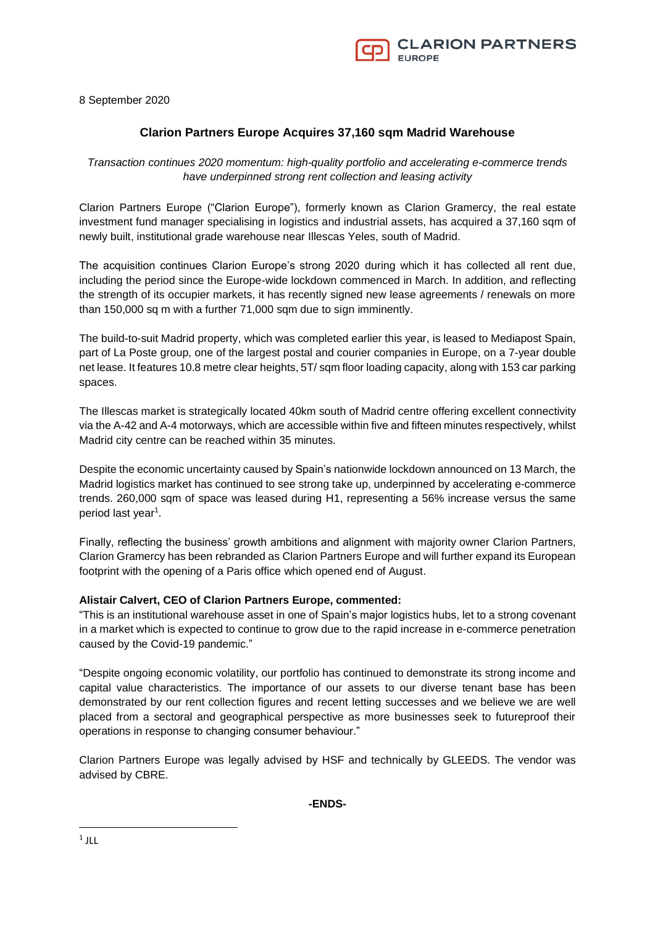

8 September 2020

## **Clarion Partners Europe Acquires 37,160 sqm Madrid Warehouse**

*Transaction continues 2020 momentum: high-quality portfolio and accelerating e-commerce trends have underpinned strong rent collection and leasing activity*

Clarion Partners Europe ("Clarion Europe"), formerly known as Clarion Gramercy, the real estate investment fund manager specialising in logistics and industrial assets, has acquired a 37,160 sqm of newly built, institutional grade warehouse near Illescas Yeles, south of Madrid.

The acquisition continues Clarion Europe's strong 2020 during which it has collected all rent due, including the period since the Europe-wide lockdown commenced in March. In addition, and reflecting the strength of its occupier markets, it has recently signed new lease agreements / renewals on more than 150,000 sq m with a further 71,000 sqm due to sign imminently.

The build-to-suit Madrid property, which was completed earlier this year, is leased to Mediapost Spain, part of La Poste group, one of the largest postal and courier companies in Europe, on a 7-year double net lease. It features 10.8 metre clear heights, 5T/ sqm floor loading capacity, along with 153 car parking spaces.

The Illescas market is strategically located 40km south of Madrid centre offering excellent connectivity via the A-42 and A-4 motorways, which are accessible within five and fifteen minutes respectively, whilst Madrid city centre can be reached within 35 minutes.

Despite the economic uncertainty caused by Spain's nationwide lockdown announced on 13 March, the Madrid logistics market has continued to see strong take up, underpinned by accelerating e-commerce trends. 260,000 sqm of space was leased during H1, representing a 56% increase versus the same period last year<sup>1</sup>.

Finally, reflecting the business' growth ambitions and alignment with majority owner Clarion Partners, Clarion Gramercy has been rebranded as Clarion Partners Europe and will further expand its European footprint with the opening of a Paris office which opened end of August.

## **Alistair Calvert, CEO of Clarion Partners Europe, commented:**

"This is an institutional warehouse asset in one of Spain's major logistics hubs, let to a strong covenant in a market which is expected to continue to grow due to the rapid increase in e-commerce penetration caused by the Covid-19 pandemic."

"Despite ongoing economic volatility, our portfolio has continued to demonstrate its strong income and capital value characteristics. The importance of our assets to our diverse tenant base has been demonstrated by our rent collection figures and recent letting successes and we believe we are well placed from a sectoral and geographical perspective as more businesses seek to futureproof their operations in response to changing consumer behaviour."

Clarion Partners Europe was legally advised by HSF and technically by GLEEDS. The vendor was advised by CBRE.

**-ENDS-**